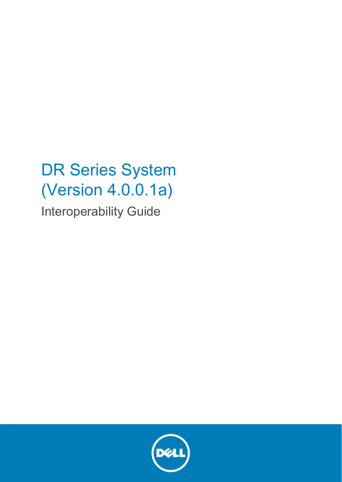# DR Series System (Version 4.0.0.1a)

Interoperability Guide

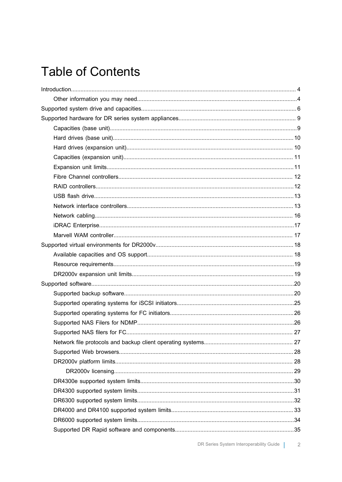#### **Table of Contents**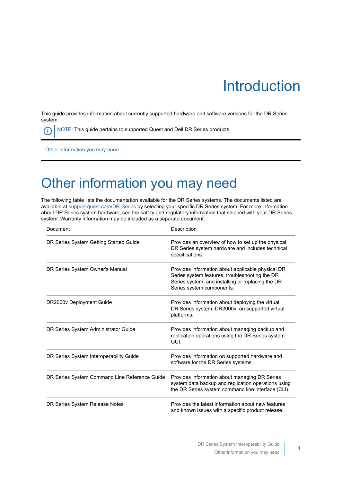# Introduction

<span id="page-3-0"></span>This guide provides information about currently supported hardware and software versions for the DR Series system.

NOTE: This guide pertains to supported Quest and Dell DR Series products. Œ

[Other information you may need](#page-3-1)

#### <span id="page-3-1"></span>Other information you may need

The following table lists the documentation available for the DR Series systems. The documents listed are available at [support.quest.com/DR-Series](http://support.quest.com/DR-Series) by selecting your specific DR Series system. For more information about DR Series system hardware, see the safety and regulatory information that shipped with your DR Series system. Warranty information may be included as a separate document.

| Document                                      | Description                                                                                                                                                                           |
|-----------------------------------------------|---------------------------------------------------------------------------------------------------------------------------------------------------------------------------------------|
| DR Series System Getting Started Guide        | Provides an overview of how to set up the physical<br>DR Series system hardware and includes technical<br>specifications.                                                             |
| DR Series System Owner's Manual               | Provides information about applicable physical DR<br>Series system features, troubleshooting the DR<br>Series system, and installing or replacing the DR<br>Series system components. |
| DR2000v Deployment Guide                      | Provides information about deploying the virtual<br>DR Series system, DR2000v, on supported virtual<br>platforms.                                                                     |
| DR Series System Administrator Guide          | Provides information about managing backup and<br>replication operations using the DR Series system<br>GUI.                                                                           |
| DR Series System Interoperability Guide       | Provides information on supported hardware and<br>software for the DR Series systems.                                                                                                 |
| DR Series System Command Line Reference Guide | Provides information about managing DR Series<br>system data backup and replication operations using<br>the DR Series system command line interface (CLI).                            |
| DR Series System Release Notes                | Provides the latest information about new features<br>and known issues with a specific product release.                                                                               |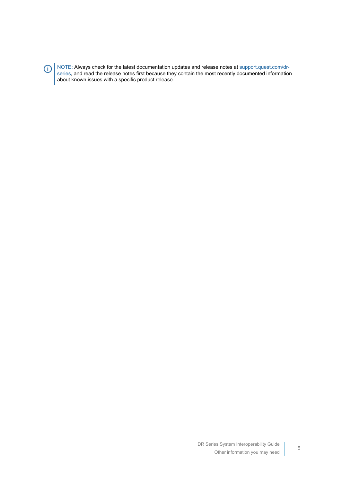$\bigcirc$ 

NOTE: Always check for the latest documentation updates and release notes at [support.quest.com/dr](http://support.quest.com/DR-Series)[series](http://support.quest.com/DR-Series), and read the release notes first because they contain the most recently documented information about known issues with a specific product release.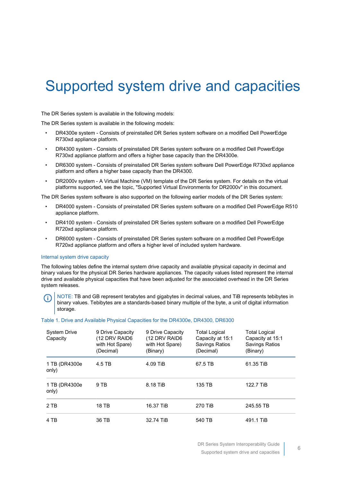## <span id="page-5-0"></span>Supported system drive and capacities

The DR Series system is available in the following models:

The DR Series system is available in the following models:

- DR4300e system Consists of preinstalled DR Series system software on a modified Dell PowerEdge R730xd appliance platform.
- DR4300 system Consists of preinstalled DR Series system software on a modified Dell PowerEdge R730xd appliance platform and offers a higher base capacity than the DR4300e.
- DR6300 system Consists of preinstalled DR Series system software Dell PowerEdge R730xd appliance platform and offers a higher base capacity than the DR4300.
- DR2000v system A Virtual Machine (VM) template of the DR Series system. For details on the virtual platforms supported, see the topic, "Supported Virtual Environments for DR2000v" in this document.

The DR Series system software is also supported on the following earlier models of the DR Series system:

- DR4000 system Consists of preinstalled DR Series system software on a modified Dell PowerEdge R510 appliance platform.
- DR4100 system Consists of preinstalled DR Series system software on a modified Dell PowerEdge R720xd appliance platform.
- DR6000 system Consists of preinstalled DR Series system software on a modified Dell PowerEdge R720xd appliance platform and offers a higher level of included system hardware.

#### Internal system drive capacity

The following tables define the internal system drive capacity and available physical capacity in decimal and binary values for the physical DR Series hardware appliances. The capacity values listed represent the internal drive and available physical capacities that have been adjusted for the associated overhead in the DR Series system releases.

NOTE: TB and GB represent terabytes and gigabytes in decimal values, and TiB represents tebibytes in binary values. Tebibytes are a standards-based binary multiple of the byte, a unit of digital information storage.

#### Table 1. Drive and Available Physical Capacities for the DR4300e, DR4300, DR6300

| <b>System Drive</b><br>Capacity | 9 Drive Capacity<br>(12 DRV RAID6<br>with Hot Spare)<br>(Decimal) | 9 Drive Capacity<br>(12 DRV RAID6<br>with Hot Spare)<br>(Binary) | <b>Total Logical</b><br>Capacity at 15:1<br><b>Savings Ratios</b><br>(Decimal) | <b>Total Logical</b><br>Capacity at 15:1<br><b>Savings Ratios</b><br>(Binary) |
|---------------------------------|-------------------------------------------------------------------|------------------------------------------------------------------|--------------------------------------------------------------------------------|-------------------------------------------------------------------------------|
| 1 TB (DR4300e<br>only)          | 4.5 TB                                                            | 4.09 TiB                                                         | 67.5 TB                                                                        | 61.35 TiB                                                                     |
| 1 TB (DR4300e)<br>only)         | 9 TB                                                              | 8.18 TiB                                                         | 135 TB                                                                         | 122.7 TiB                                                                     |
| 2 TB                            | 18 TB                                                             | 16.37 TiB                                                        | 270 TiB                                                                        | 245.55 TB                                                                     |
| 4 TB                            | 36 TB                                                             | 32.74 TiB                                                        | 540 TB                                                                         | 491.1 TiB                                                                     |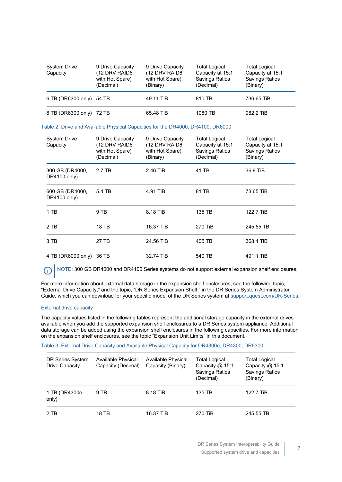| <b>System Drive</b><br>Capacity | 9 Drive Capacity<br>(12 DRV RAID6<br>with Hot Spare)<br>(Decimal) | 9 Drive Capacity<br>(12 DRV RAID6<br>with Hot Spare)<br>(Binary) | <b>Total Logical</b><br>Capacity at 15:1<br>Savings Ratios<br>(Decimal) | <b>Total Logical</b><br>Capacity at 15:1<br>Savings Ratios<br>(Binary) |
|---------------------------------|-------------------------------------------------------------------|------------------------------------------------------------------|-------------------------------------------------------------------------|------------------------------------------------------------------------|
| 6 TB (DR6300 only) 54 TB        |                                                                   | 49.11 TiB                                                        | 810 TB                                                                  | 736.65 TiB                                                             |
| 8 TB (DR6300 only) 72 TB        |                                                                   | 65.48 TiB                                                        | 1080 TB                                                                 | 982.2 TiB                                                              |

#### Table 2. Drive and Available Physical Capacities for the DR4000, DR4100, DR6000

| <b>System Drive</b><br>Capacity | 9 Drive Capacity<br>(12 DRV RAID6<br>with Hot Spare)<br>(Decimal) | 9 Drive Capacity<br>(12 DRV RAID6<br>with Hot Spare)<br>(Binary) | <b>Total Logical</b><br>Capacity at 15:1<br>Savings Ratios<br>(Decimal) | <b>Total Logical</b><br>Capacity at 15:1<br><b>Savings Ratios</b><br>(Binary) |
|---------------------------------|-------------------------------------------------------------------|------------------------------------------------------------------|-------------------------------------------------------------------------|-------------------------------------------------------------------------------|
| 300 GB (DR4000,<br>DR4100 only) | 2.7 TB                                                            | 2.46 TiB                                                         | 41 TB                                                                   | 36.9 TiB                                                                      |
| 600 GB (DR4000,<br>DR4100 only) | 5.4 TB                                                            | 4.91 TiB                                                         | 81 TB                                                                   | 73.65 TiB                                                                     |
| 1 TB                            | 9 TB                                                              | 8.18 TiB                                                         | 135 TB                                                                  | 122.7 TiB                                                                     |
| 2 TB                            | 18 TB                                                             | 16.37 TiB                                                        | 270 TiB                                                                 | 245.55 TB                                                                     |
| 3 TB                            | 27 TB                                                             | 24.56 TiB                                                        | 405 TB                                                                  | 368.4 TiB                                                                     |
| 4 TB (DR6000 only)              | 36 TB                                                             | 32.74 TiB                                                        | 540 TB                                                                  | 491.1 TiB                                                                     |

NOTE: 300 GB DR4000 and DR4100 Series systems do not support external expansion shelf enclosures. ⋒

For more information about external data storage in the expansion shelf enclosures, see the following topic, "External Drive Capacity," and the topic, "DR Series Expansion Shelf," in the DR Series System Administrator Guide, which you can download for your specific model of the DR Series system at [support.quest.com/DR-Series](http://support.quest.com/DR-Series).

#### External drive capacity

The capacity values listed in the following tables represent the additional storage capacity in the external drives available when you add the supported expansion shelf enclosures to a DR Series system appliance. Additional data storage can be added using the expansion shelf enclosures in the following capacities. For more information on the expansion shelf enclosures, see the topic "Expansion Unit Limits" in this document.

#### Table 3. External Drive Capacity and Available Physical Capacity for DR4300e, DR4300, DR6300

| DR Series System<br>Drive Capacity | Available Physical<br>Capacity (Decimal) | Available Physical<br>Capacity (Binary) | <b>Total Logical</b><br>Capacity $@$ 15:1<br><b>Savings Ratios</b><br>(Decimal) | <b>Total Logical</b><br>Capacity $@$ 15:1<br><b>Savings Ratios</b><br>(Binary) |
|------------------------------------|------------------------------------------|-----------------------------------------|---------------------------------------------------------------------------------|--------------------------------------------------------------------------------|
| 1 TB (DR4300e<br>only)             | 9 TB                                     | 8.18 TiB                                | 135 TB                                                                          | 122.7 TiB                                                                      |
| 2 TB                               | 18 TB                                    | 16.37 TiB                               | 270 TiB                                                                         | 245.55 TB                                                                      |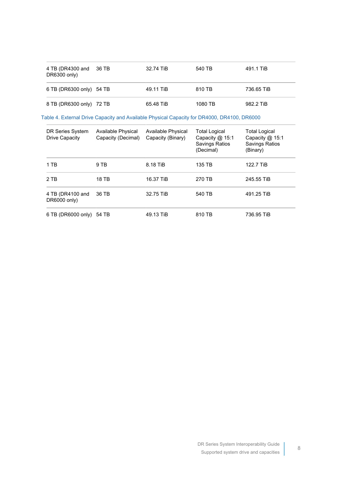| 4 TB (DR4300 and 36 TB<br>DR6300 only) | 32.74 TiB | 540 TB  | 491.1 TiB  |
|----------------------------------------|-----------|---------|------------|
| 6 TB (DR6300 only) 54 TB               | 49.11 TiB | 810 TB  | 736.65 TiB |
| 8 TB (DR6300 only) 72 TB               | 65.48 TiB | 1080 TB | 982.2 TiB  |

Table 4. External Drive Capacity and Available Physical Capacity for DR4000, DR4100, DR6000

| DR Series System<br>Drive Capacity | Available Physical<br>Capacity (Decimal) | Available Physical<br>Capacity (Binary) | <b>Total Logical</b><br>Capacity @ 15:1<br>Savings Ratios<br>(Decimal) | Total Logical<br>Capacity @ 15:1<br>Savings Ratios<br>(Binary) |
|------------------------------------|------------------------------------------|-----------------------------------------|------------------------------------------------------------------------|----------------------------------------------------------------|
| 1 TB                               | 9 TB                                     | 8.18 TiB                                | 135 TB                                                                 | 122.7 TiB                                                      |
| 2 TB                               | 18 TB                                    | 16.37 TiB                               | 270 TB                                                                 | 245.55 TiB                                                     |
| 4 TB (DR4100 and<br>DR6000 only)   | 36 TB                                    | 32.75 TiB                               | 540 TB                                                                 | 491.25 TiB                                                     |
| 6 TB (DR6000 only)                 | 54 TB                                    | 49.13 TiB                               | 810 TB                                                                 | 736.95 TiB                                                     |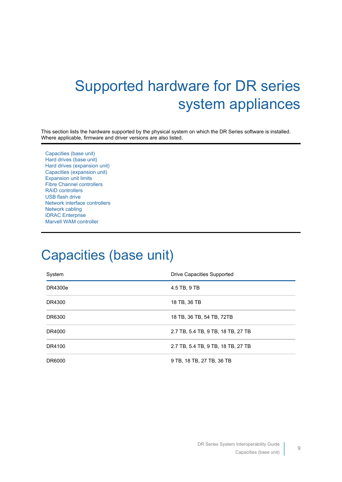# <span id="page-8-0"></span>Supported hardware for DR series system appliances

This section lists the hardware supported by the physical system on which the DR Series software is installed. Where applicable, firmware and driver versions are also listed.

[Capacities \(base unit\)](#page-8-1) [Hard drives \(base unit\)](#page-9-0) [Hard drives \(expansion unit\)](#page-9-1) [Capacities \(expansion unit\)](#page-10-0) [Expansion unit limits](#page-10-1) [Fibre Channel controllers](#page-11-0) [RAID controllers](#page-11-1) [USB flash drive](#page-12-0) [Network interface controllers](#page-12-1) [Network cabling](#page-15-0) [iDRAC Enterprise](#page-16-0) [Marvell WAM controller](#page-16-1)

#### <span id="page-8-1"></span>Capacities (base unit)

| System  | Drive Capacities Supported         |
|---------|------------------------------------|
| DR4300e | 4.5 TB, 9 TB                       |
| DR4300  | 18 TB, 36 TB                       |
| DR6300  | 18 TB, 36 TB, 54 TB, 72TB          |
| DR4000  | 2.7 TB, 5.4 TB, 9 TB, 18 TB, 27 TB |
| DR4100  | 2.7 TB, 5.4 TB, 9 TB, 18 TB, 27 TB |
| DR6000  | 9 TB, 18 TB, 27 TB, 36 TB          |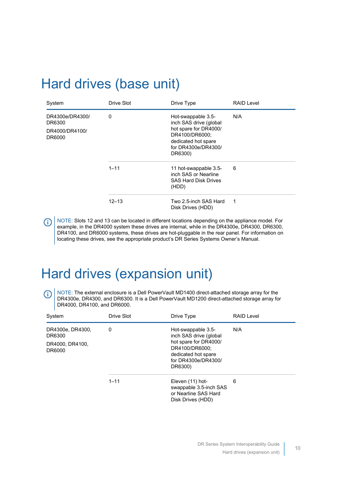#### <span id="page-9-0"></span>Hard drives (base unit)

| System                                                | Drive Slot | Drive Type                                                                                                                                       | <b>RAID Level</b> |
|-------------------------------------------------------|------------|--------------------------------------------------------------------------------------------------------------------------------------------------|-------------------|
| DR4300e/DR4300/<br>DR6300<br>DR4000/DR4100/<br>DR6000 | 0          | Hot-swappable 3.5-<br>inch SAS drive (global<br>hot spare for DR4000/<br>DR4100/DR6000;<br>dedicated hot spare<br>for DR4300e/DR4300/<br>DR6300) | N/A               |
|                                                       | $1 - 11$   | 11 hot-swappable 3.5-<br>inch SAS or Nearline<br><b>SAS Hard Disk Drives</b><br>(HDD)                                                            | 6                 |
|                                                       | 12–13      | Two 2.5-inch SAS Hard<br>Disk Drives (HDD)                                                                                                       | 1                 |

NOTE: Slots 12 and 13 can be located in different locations depending on the appliance model. For (i) example, in the DR4000 system these drives are internal, while in the DR4300e, DR4300, DR6300, DR4100, and DR6000 systems, these drives are hot-pluggable in the rear panel. For information on locating these drives, see the appropriate product's DR Series Systems Owner's Manual.

### <span id="page-9-1"></span>Hard drives (expansion unit)

NOTE: The external enclosure is a Dell PowerVault MD1400 direct-attached storage array for the (i) DR4300e, DR4300, and DR6300. It is a Dell PowerVault MD1200 direct-attached storage array for DR4000, DR4100, and DR6000.

| System                                                                                                   | Drive Slot | Drive Type                                                                              | <b>RAID Level</b> |
|----------------------------------------------------------------------------------------------------------|------------|-----------------------------------------------------------------------------------------|-------------------|
| DR4300e, DR4300,<br>Hot-swappable 3.5-<br>0<br>inch SAS drive (global<br>DR6300<br>hot spare for DR4000/ |            | N/A                                                                                     |                   |
| DR4000, DR4100,<br>DR6000                                                                                |            | DR4100/DR6000;<br>dedicated hot spare<br>for DR4300e/DR4300/<br>DR6300)                 |                   |
|                                                                                                          | $1 - 11$   | Eleven (11) hot-<br>swappable 3.5-inch SAS<br>or Nearline SAS Hard<br>Disk Drives (HDD) | 6                 |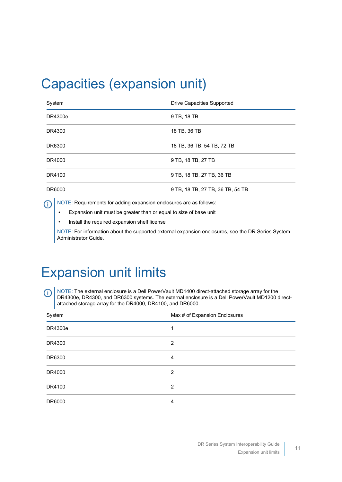## <span id="page-10-0"></span>Capacities (expansion unit)

| System  | Drive Capacities Supported       |
|---------|----------------------------------|
| DR4300e | 9 TB, 18 TB                      |
| DR4300  | 18 TB, 36 TB                     |
| DR6300  | 18 TB, 36 TB, 54 TB, 72 TB       |
| DR4000  | 9 TB, 18 TB, 27 TB               |
| DR4100  | 9 TB, 18 TB, 27 TB, 36 TB        |
| DR6000  | 9 TB, 18 TB, 27 TB, 36 TB, 54 TB |

NOTE: Requirements for adding expansion enclosures are as follows: ⋒

• Expansion unit must be greater than or equal to size of base unit

• Install the required expansion shelf license

NOTE: For information about the supported external expansion enclosures, see the DR Series System Administrator Guide.

### <span id="page-10-1"></span>Expansion unit limits

NOTE: The external enclosure is a Dell PowerVault MD1400 direct-attached storage array for the O) DR4300e, DR4300, and DR6300 systems. The external enclosure is a Dell PowerVault MD1200 directattached storage array for the DR4000, DR4100, and DR6000.

| System  | Max # of Expansion Enclosures |
|---------|-------------------------------|
| DR4300e | 1                             |
| DR4300  | 2                             |
| DR6300  | 4                             |
| DR4000  | 2                             |
| DR4100  | 2                             |
| DR6000  | 4                             |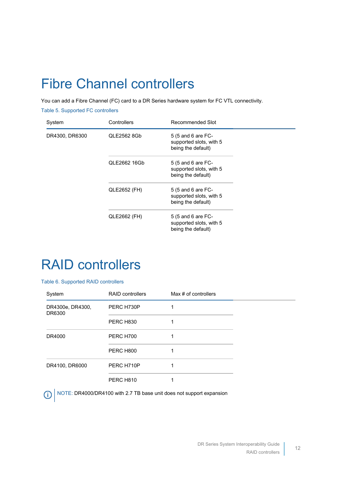## <span id="page-11-0"></span>Fibre Channel controllers

You can add a Fibre Channel (FC) card to a DR Series hardware system for FC VTL connectivity.

Table 5. Supported FC controllers

| System         | Controllers  | Recommended Slot                                                    |  |
|----------------|--------------|---------------------------------------------------------------------|--|
| DR4300, DR6300 | QLE2562 8Gb  | 5 (5 and 6 are FC-<br>supported slots, with 5<br>being the default) |  |
|                | QLE2662 16Gb | 5 (5 and 6 are FC-<br>supported slots, with 5<br>being the default) |  |
|                | QLE2652 (FH) | 5 (5 and 6 are FC-<br>supported slots, with 5<br>being the default) |  |
|                | QLE2662 (FH) | 5 (5 and 6 are FC-<br>supported slots, with 5<br>being the default) |  |

#### <span id="page-11-1"></span>RAID controllers

#### Table 6. Supported RAID controllers

| System                     | <b>RAID controllers</b> | Max # of controllers |  |
|----------------------------|-------------------------|----------------------|--|
| DR4300e, DR4300,<br>DR6300 | PERC H730P              |                      |  |
|                            | PERC H830               |                      |  |
| DR4000                     | <b>PERC H700</b>        |                      |  |
|                            | PERC H800               |                      |  |
| DR4100, DR6000             | PERC H710P              |                      |  |
|                            | PERC H810               |                      |  |

 $\bigcirc$  NOTE: DR4000/DR4100 with 2.7 TB base unit does not support expansion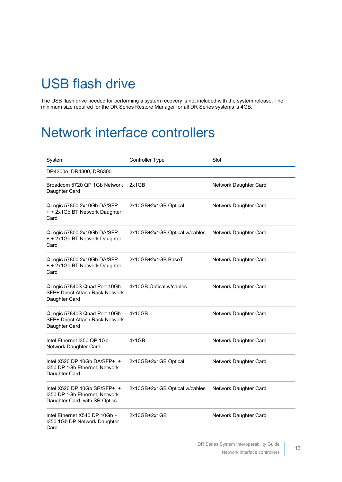## <span id="page-12-0"></span>USB flash drive

The USB flash drive needed for performing a system recovery is not included with the system release. The minimum size required for the DR Series Restore Manager for all DR Series systems is 4GB.

#### <span id="page-12-1"></span>Network interface controllers

| System                                                                                          | Controller Type               | Slot                  |
|-------------------------------------------------------------------------------------------------|-------------------------------|-----------------------|
| DR4300e, DR4300, DR6300                                                                         |                               |                       |
| Broadcom 5720 QP 1Gb Network<br>Daughter Card                                                   | 2x1GB                         | Network Daughter Card |
| QLogic 57800 2x10Gb DA/SFP<br>+ + 2x1Gb BT Network Daughter<br>Card                             | 2x10GB+2x1GB Optical          | Network Daughter Card |
| QLogic 57800 2x10Gb DA/SFP<br>+ + 2x1Gb BT Network Daughter<br>Card                             | 2x10GB+2x1GB Optical w/cables | Network Daughter Card |
| QLogic 57800 2x10Gb DA/SFP<br>+ + 2x1Gb BT Network Daughter<br>Card                             | 2x10GB+2x1GB BaseT            | Network Daughter Card |
| QLogic 57840S Quad Port 10Gb<br>SFP+ Direct Attach Rack Network<br>Daughter Card                | 4x10GB Optical w/cables       | Network Daughter Card |
| QLogic 57840S Quad Port 10Gb<br>SFP+ Direct Attach Rack Network<br>Daughter Card                | 4x10GB                        | Network Daughter Card |
| Intel Ethernet I350 QP 1Gb<br>Network Daughter Card                                             | 4x1GB                         | Network Daughter Card |
| Intel X520 DP 10Gb DA/SFP+, +<br>1350 DP 1Gb Ethernet, Network<br>Daughter Card                 | 2x10GB+2x1GB Optical          | Network Daughter Card |
| Intel X520 DP 10Gb SR/SFP+, +<br>1350 DP 1Gb Ethernet, Network<br>Daughter Card, with SR Optics | 2x10GB+2x1GB Optical w/cables | Network Daughter Card |
| Intel Ethernet X540 DP 10Gb +<br>I350 1Gb DP Network Daughter<br>Card                           | $2x10GB+2x1GB$                | Network Daughter Card |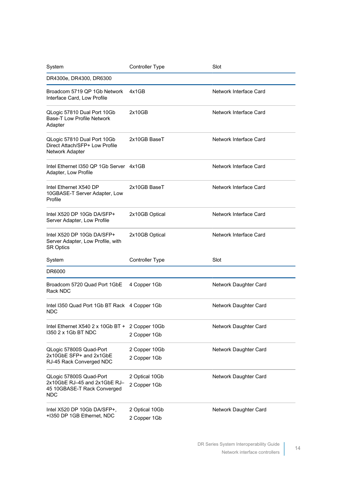| System                                                                                               | <b>Controller Type</b>         | Slot                   |
|------------------------------------------------------------------------------------------------------|--------------------------------|------------------------|
| DR4300e, DR4300, DR6300                                                                              |                                |                        |
| Broadcom 5719 QP 1Gb Network<br>Interface Card, Low Profile                                          | 4x1GB                          | Network Interface Card |
| QLogic 57810 Dual Port 10Gb<br><b>Base-T Low Profile Network</b><br>Adapter                          | 2x10GB                         | Network Interface Card |
| QLogic 57810 Dual Port 10Gb<br>Direct Attach/SFP+ Low Profile<br>Network Adapter                     | 2x10GB BaseT                   | Network Interface Card |
| Intel Ethernet I350 QP 1Gb Server 4x1GB<br>Adapter, Low Profile                                      |                                | Network Interface Card |
| Intel Ethernet X540 DP<br>10GBASE-T Server Adapter, Low<br>Profile                                   | 2x10GB BaseT                   | Network Interface Card |
| Intel X520 DP 10Gb DA/SFP+<br>Server Adapter, Low Profile                                            | 2x10GB Optical                 | Network Interface Card |
| Intel X520 DP 10Gb DA/SFP+<br>Server Adapter, Low Profile, with<br><b>SR Optics</b>                  | 2x10GB Optical                 | Network Interface Card |
| System                                                                                               | Controller Type                | Slot                   |
| DR6000                                                                                               |                                |                        |
| Broadcom 5720 Quad Port 1GbE<br>Rack NDC                                                             | 4 Copper 1Gb                   | Network Daughter Card  |
| Intel I350 Quad Port 1Gb BT Rack 4 Copper 1Gb<br><b>NDC</b>                                          |                                | Network Daughter Card  |
| Intel Ethernet X540 2 x 10Gb BT + 2 Copper 10Gb<br>1350 2 x 1Gb BT NDC                               | 2 Copper 1Gb                   | Network Daughter Card  |
| QLogic 57800S Quad-Port<br>2x10GbE SFP+ and 2x1GbE<br>RJ-45 Rack Converged NDC                       | 2 Copper 10Gb<br>2 Copper 1Gb  | Network Daughter Card  |
| QLogic 57800S Quad-Port<br>2x10GbE RJ-45 and 2x1GbE RJ-<br>45 10GBASE-T Rack Converged<br><b>NDC</b> | 2 Optical 10Gb<br>2 Copper 1Gb | Network Daughter Card  |
| Intel X520 DP 10Gb DA/SFP+,<br>+1350 DP 1GB Ethernet, NDC                                            | 2 Optical 10Gb<br>2 Copper 1Gb | Network Daughter Card  |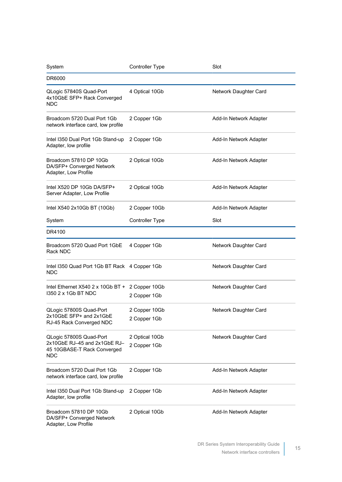| System                                                                                        | <b>Controller Type</b>         | Slot                   |
|-----------------------------------------------------------------------------------------------|--------------------------------|------------------------|
| DR6000                                                                                        |                                |                        |
| QLogic 57840S Quad-Port<br>4x10GbE SFP+ Rack Converged<br>NDC.                                | 4 Optical 10Gb                 | Network Daughter Card  |
| Broadcom 5720 Dual Port 1Gb<br>network interface card, low profile                            | 2 Copper 1Gb                   | Add-In Network Adapter |
| Intel I350 Dual Port 1Gb Stand-up<br>Adapter, low profile                                     | 2 Copper 1Gb                   | Add-In Network Adapter |
| Broadcom 57810 DP 10Gb<br>DA/SFP+ Converged Network<br>Adapter, Low Profile                   | 2 Optical 10Gb                 | Add-In Network Adapter |
| Intel X520 DP 10Gb DA/SFP+<br>Server Adapter, Low Profile                                     | 2 Optical 10Gb                 | Add-In Network Adapter |
| Intel X540 2x10Gb BT (10Gb)                                                                   | 2 Copper 10Gb                  | Add-In Network Adapter |
| System                                                                                        | <b>Controller Type</b>         | Slot                   |
| DR4100                                                                                        |                                |                        |
| Broadcom 5720 Quad Port 1GbE<br>Rack NDC                                                      | 4 Copper 1Gb                   | Network Daughter Card  |
| Intel I350 Quad Port 1Gb BT Rack 4 Copper 1Gb<br>NDC                                          |                                | Network Daughter Card  |
| Intel Ethernet X540 2 x 10Gb BT + 2 Copper 10Gb<br>1350 2 x 1Gb BT NDC                        | 2 Copper 1Gb                   | Network Daughter Card  |
| QLogic 57800S Quad-Port<br>2x10GbE SFP+ and 2x1GbE<br>RJ-45 Rack Converged NDC                | 2 Copper 10Gb<br>2 Copper 1Gb  | Network Daughter Card  |
| QLogic 57800S Quad-Port<br>2x10GbE RJ-45 and 2x1GbE RJ-<br>45 10GBASE-T Rack Converged<br>NDC | 2 Optical 10Gb<br>2 Copper 1Gb | Network Daughter Card  |
| Broadcom 5720 Dual Port 1Gb<br>network interface card, low profile                            | 2 Copper 1Gb                   | Add-In Network Adapter |
| Intel I350 Dual Port 1Gb Stand-up<br>Adapter, low profile                                     | 2 Copper 1Gb                   | Add-In Network Adapter |
| Broadcom 57810 DP 10Gb<br>DA/SFP+ Converged Network<br>Adapter, Low Profile                   | 2 Optical 10Gb                 | Add-In Network Adapter |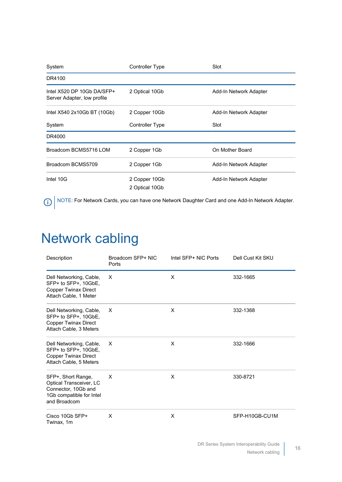| System                                                    | Controller Type                 | Slot                   |
|-----------------------------------------------------------|---------------------------------|------------------------|
| DR4100                                                    |                                 |                        |
| Intel X520 DP 10Gb DA/SFP+<br>Server Adapter, low profile | 2 Optical 10Gb                  | Add-In Network Adapter |
| Intel X540 2x10Gb BT (10Gb)                               | 2 Copper 10Gb                   | Add-In Network Adapter |
| System                                                    | Controller Type                 | Slot                   |
| DR4000                                                    |                                 |                        |
| Broadcom BCMS5716 LOM                                     | 2 Copper 1Gb                    | On Mother Board        |
| Broadcom BCMS5709                                         | 2 Copper 1Gb                    | Add-In Network Adapter |
| Intel 10G                                                 | 2 Copper 10Gb<br>2 Optical 10Gb | Add-In Network Adapter |

NOTE: For Network Cards, you can have one Network Daughter Card and one Add-In Network Adapter.

## <span id="page-15-0"></span>Network cabling

| Description                                                                                                      | Broadcom SFP+ NIC<br>Ports | Intel SFP+ NIC Ports | Dell Cust Kit SKU |
|------------------------------------------------------------------------------------------------------------------|----------------------------|----------------------|-------------------|
| Dell Networking, Cable,<br>SFP+ to SFP+, 10GbE,<br><b>Copper Twinax Direct</b><br>Attach Cable, 1 Meter          | X                          | X                    | 332-1665          |
| Dell Networking, Cable,<br>SFP+ to SFP+, 10GbE,<br>Copper Twinax Direct<br>Attach Cable, 3 Meters                | $\times$                   | X                    | 332-1368          |
| Dell Networking, Cable,<br>SFP+ to SFP+, 10GbE,<br><b>Copper Twinax Direct</b><br>Attach Cable, 5 Meters         | X                          | X                    | 332-1666          |
| SFP+, Short Range,<br>Optical Transceiver, LC<br>Connector, 10Gb and<br>1Gb compatible for Intel<br>and Broadcom | X                          | X                    | 330-8721          |
| Cisco 10Gb SFP+<br>Twinax, 1m                                                                                    | X                          | X                    | SFP-H10GB-CU1M    |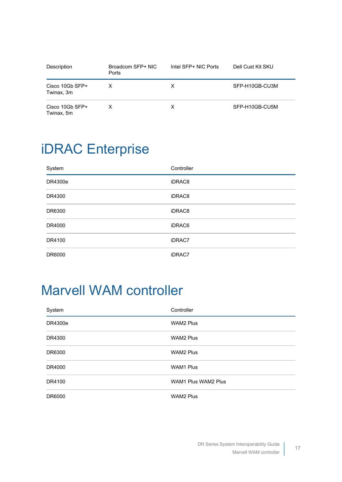| Description                   | Broadcom SFP+ NIC<br>Ports | Intel SFP+ NIC Ports | Dell Cust Kit SKU |
|-------------------------------|----------------------------|----------------------|-------------------|
| Cisco 10Gb SFP+<br>Twinax, 3m | x                          | X                    | SFP-H10GB-CU3M    |
| Cisco 10Gb SFP+<br>Twinax, 5m | x                          | х                    | SFP-H10GB-CU5M    |

## <span id="page-16-0"></span>iDRAC Enterprise

| System  | Controller |
|---------|------------|
| DR4300e | iDRAC8     |
| DR4300  | iDRAC8     |
| DR6300  | iDRAC8     |
| DR4000  | iDRAC6     |
| DR4100  | iDRAC7     |
| DR6000  | iDRAC7     |

### <span id="page-16-1"></span>Marvell WAM controller

| System  | Controller                 |
|---------|----------------------------|
| DR4300e | <b>WAM2 Plus</b>           |
| DR4300  | <b>WAM2 Plus</b>           |
| DR6300  | <b>WAM2 Plus</b>           |
| DR4000  | <b>WAM1 Plus</b>           |
| DR4100  | <b>WAM1 Plus WAM2 Plus</b> |
| DR6000  | <b>WAM2 Plus</b>           |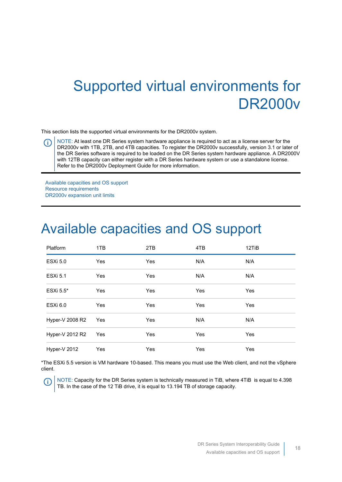## <span id="page-17-0"></span>Supported virtual environments for DR2000v

This section lists the supported virtual environments for the DR2000v system.

NOTE: At least one DR Series system hardware appliance is required to act as a license server for the O DR2000v with 1TB, 2TB, and 4TB capacities. To register the DR2000v successfully, version 3.1 or later of the DR Series software is required to be loaded on the DR Series system hardware appliance. A DR2000V with 12TB capacity can either register with a DR Series hardware system or use a standalone license. Refer to the DR2000v Deployment Guide for more information.

[Available capacities and OS support](#page-17-1) [Resource requirements](#page-18-0) [DR2000v expansion unit limits](#page-18-1)

#### <span id="page-17-1"></span>Available capacities and OS support

| Platform        | 1TB | 2TB | 4TB        | 12TiB      |
|-----------------|-----|-----|------------|------------|
| <b>ESXi 5.0</b> | Yes | Yes | N/A        | N/A        |
| <b>ESXi 5.1</b> | Yes | Yes | N/A        | N/A        |
| ESXi 5.5*       | Yes | Yes | <b>Yes</b> | Yes        |
| ESXi 6.0        | Yes | Yes | <b>Yes</b> | Yes        |
| Hyper-V 2008 R2 | Yes | Yes | N/A        | N/A        |
| Hyper-V 2012 R2 | Yes | Yes | <b>Yes</b> | Yes        |
| Hyper-V 2012    | Yes | Yes | Yes        | <b>Yes</b> |

\*The ESXi 5.5 version is VM hardware 10-based. This means you must use the Web client, and not the vSphere client.

NOTE: Capacity for the DR Series system is technically measured in TiB, where 4TiB is equal to 4.398 O TB. In the case of the 12 TiB drive, it is equal to 13.194 TB of storage capacity.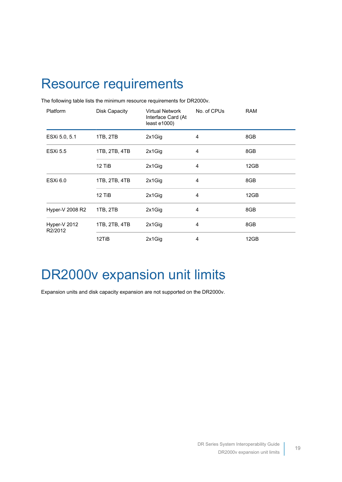### <span id="page-18-0"></span>Resource requirements

| Platform                | <b>Disk Capacity</b> | Virtual Network<br>Interface Card (At<br>least $e1000$ ) | No. of CPUs    | <b>RAM</b> |
|-------------------------|----------------------|----------------------------------------------------------|----------------|------------|
| ESXi 5.0, 5.1           | 1TB, 2TB             | 2x1Gig                                                   | $\overline{4}$ | 8GB        |
| <b>ESXi 5.5</b>         | 1TB, 2TB, 4TB        | 2x1Gig                                                   | $\overline{4}$ | 8GB        |
|                         | 12 TiB               | 2x1Gig                                                   | $\overline{4}$ | 12GB       |
| <b>ESXi 6.0</b>         | 1TB, 2TB, 4TB        | 2x1Gig                                                   | $\overline{4}$ | 8GB        |
|                         | 12 TiB               | 2x1Gig                                                   | $\overline{4}$ | 12GB       |
| Hyper-V 2008 R2         | 1TB, 2TB             | 2x1Gig                                                   | 4              | 8GB        |
| Hyper-V 2012<br>R2/2012 | 1TB, 2TB, 4TB        | 2x1Gig                                                   | $\overline{4}$ | 8GB        |
|                         | 12TiB                | 2x1Gig                                                   | 4              | 12GB       |

The following table lists the minimum resource requirements for DR2000v.

#### <span id="page-18-1"></span>DR2000v expansion unit limits

Expansion units and disk capacity expansion are not supported on the DR2000v.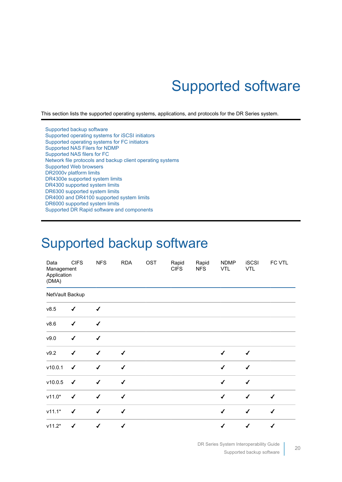# Supported software

<span id="page-19-0"></span>This section lists the supported operating systems, applications, and protocols for the DR Series system.

[Supported backup software](#page-19-1) [Supported operating systems for iSCSI initiators](#page-24-0) [Supported operating systems for FC initiators](#page-25-0) [Supported NAS Filers for NDMP](#page-25-1) [Supported NAS filers for FC](#page-26-0) [Network file protocols and backup client operating systems](#page-26-1) [Supported Web browsers](#page-27-0) [DR2000v platform limits](#page-27-1) [DR4300e supported system limits](#page-29-0) [DR4300 supported system limits](#page-30-0) [DR6300 supported system limits](#page-31-0) [DR4000 and DR4100 supported system limits](#page-32-0) [DR6000 supported system limits](#page-33-0) [Supported DR Rapid software and components](#page-34-0)

#### <span id="page-19-1"></span>Supported backup software

| Data<br>Management<br>Application<br>(DMA) | <b>CIFS</b>               | <b>NFS</b>                | <b>RDA</b>   | OST | Rapid<br><b>CIFS</b> | Rapid<br><b>NFS</b> | <b>NDMP</b><br><b>VTL</b> | <b>iSCSI</b><br><b>VTL</b> | FC VTL       |
|--------------------------------------------|---------------------------|---------------------------|--------------|-----|----------------------|---------------------|---------------------------|----------------------------|--------------|
| NetVault Backup                            |                           |                           |              |     |                      |                     |                           |                            |              |
| v8.5                                       | $\checkmark$              | $\checkmark$              |              |     |                      |                     |                           |                            |              |
| v8.6                                       | $\checkmark$              | $\checkmark$              |              |     |                      |                     |                           |                            |              |
| v9.0                                       | $\checkmark$              | $\checkmark$              |              |     |                      |                     |                           |                            |              |
| v9.2                                       | $\checkmark$              | $\checkmark$              | $\checkmark$ |     |                      |                     | $\checkmark$              | $\checkmark$               |              |
| v10.0.1                                    | $\boldsymbol{\checkmark}$ | $\checkmark$              | $\checkmark$ |     |                      |                     | $\checkmark$              | $\checkmark$               |              |
| v10.0.5                                    | $\boldsymbol{\checkmark}$ | $\checkmark$              | $\checkmark$ |     |                      |                     | $\checkmark$              | $\checkmark$               |              |
| $v11.0*$                                   | $\checkmark$              | $\checkmark$              | $\checkmark$ |     |                      |                     | $\checkmark$              | $\checkmark$               | $\checkmark$ |
| $v11.1*$                                   | $\checkmark$              | $\checkmark$              | $\checkmark$ |     |                      |                     | $\checkmark$              | $\checkmark$               | $\checkmark$ |
| $v11.2*$                                   | $\checkmark$              | $\boldsymbol{\checkmark}$ | $\checkmark$ |     |                      |                     | $\checkmark$              | $\checkmark$               | $\checkmark$ |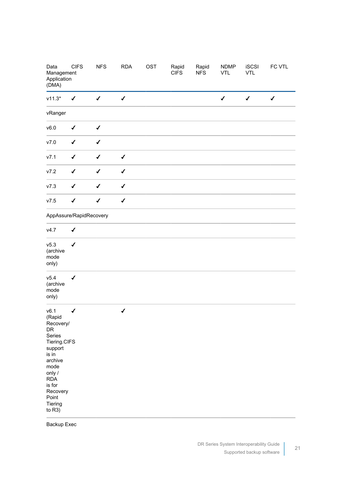| Data<br>Management<br>Application<br>(DMA)                                                                                                                                        | <b>CIFS</b>  | <b>NFS</b>                | <b>RDA</b>                | OST | Rapid<br><b>CIFS</b> | Rapid<br><b>NFS</b> | <b>NDMP</b><br><b>VTL</b> | <b>iSCSI</b><br><b>VTL</b> | FC VTL       |
|-----------------------------------------------------------------------------------------------------------------------------------------------------------------------------------|--------------|---------------------------|---------------------------|-----|----------------------|---------------------|---------------------------|----------------------------|--------------|
| $v11.3*$                                                                                                                                                                          | $\checkmark$ | $\boldsymbol{\checkmark}$ | $\boldsymbol{\checkmark}$ |     |                      |                     | $\checkmark$              | $\checkmark$               | $\checkmark$ |
| vRanger                                                                                                                                                                           |              |                           |                           |     |                      |                     |                           |                            |              |
| v6.0                                                                                                                                                                              | $\checkmark$ | $\checkmark$              |                           |     |                      |                     |                           |                            |              |
| V7.0                                                                                                                                                                              | $\checkmark$ | $\checkmark$              |                           |     |                      |                     |                           |                            |              |
| v7.1                                                                                                                                                                              | $\checkmark$ | $\checkmark$              | $\checkmark$              |     |                      |                     |                           |                            |              |
| v7.2                                                                                                                                                                              | $\checkmark$ | $\checkmark$              | $\checkmark$              |     |                      |                     |                           |                            |              |
| V7.3                                                                                                                                                                              | $\checkmark$ | $\checkmark$              | $\checkmark$              |     |                      |                     |                           |                            |              |
| v7.5                                                                                                                                                                              | $\checkmark$ | $\checkmark$              | $\checkmark$              |     |                      |                     |                           |                            |              |
| AppAssure/RapidRecovery                                                                                                                                                           |              |                           |                           |     |                      |                     |                           |                            |              |
| v4.7                                                                                                                                                                              | $\checkmark$ |                           |                           |     |                      |                     |                           |                            |              |
| v5.3<br>(archive<br>mode<br>only)                                                                                                                                                 | $\checkmark$ |                           |                           |     |                      |                     |                           |                            |              |
| v5.4<br>(archive<br>mode<br>only)                                                                                                                                                 | $\checkmark$ |                           |                           |     |                      |                     |                           |                            |              |
| v6.1<br>(Rapid<br>Recovery/<br>DR<br>Series<br>Tiering.CIFS<br>support<br>is in<br>archive<br>mode<br>only /<br><b>RDA</b><br>is for<br>Recovery<br>Point<br>Tiering<br>to $R3$ ) | $\checkmark$ |                           | $\checkmark$              |     |                      |                     |                           |                            |              |

Backup Exec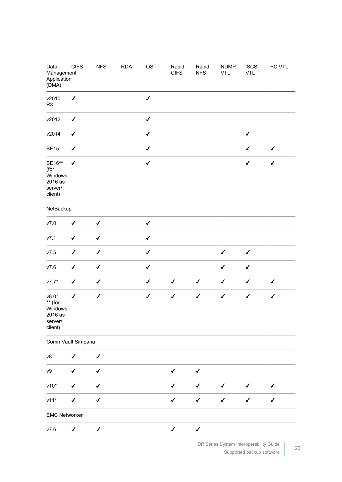| Data<br>Management<br>Application<br>(DMA)                     | <b>CIFS</b>               | <b>NFS</b>   | <b>RDA</b> | <b>OST</b>   | Rapid<br><b>CIFS</b> | Rapid<br><b>NFS</b> | <b>NDMP</b><br><b>VTL</b> | <b>iSCSI</b><br><b>VTL</b> | FC VTL       |
|----------------------------------------------------------------|---------------------------|--------------|------------|--------------|----------------------|---------------------|---------------------------|----------------------------|--------------|
| v2010<br>R <sub>3</sub>                                        | $\checkmark$              |              |            | $\checkmark$ |                      |                     |                           |                            |              |
| v2012                                                          | $\checkmark$              |              |            | $\checkmark$ |                      |                     |                           |                            |              |
| v2014                                                          | $\boldsymbol{\checkmark}$ |              |            | $\checkmark$ |                      |                     |                           | $\checkmark$               |              |
| <b>BE15</b>                                                    | $\checkmark$              |              |            | $\checkmark$ |                      |                     |                           | $\checkmark$               | $\checkmark$ |
| BE16**<br>(for<br>Windows<br>2016 as<br>server/<br>client)     | $\checkmark$              |              |            | $\checkmark$ |                      |                     |                           | $\checkmark$               | $\checkmark$ |
| NetBackup                                                      |                           |              |            |              |                      |                     |                           |                            |              |
| V7.0                                                           | $\checkmark$              | $\checkmark$ |            | $\checkmark$ |                      |                     |                           |                            |              |
| V7.1                                                           | $\checkmark$              | $\checkmark$ |            | $\checkmark$ |                      |                     |                           |                            |              |
| v7.5                                                           | $\checkmark$              | $\checkmark$ |            | $\checkmark$ |                      |                     | $\checkmark$              | $\checkmark$               |              |
| V7.6                                                           | $\checkmark$              | $\checkmark$ |            | $\checkmark$ |                      |                     | $\checkmark$              | $\checkmark$               |              |
| $v7.7*$                                                        | $\checkmark$              | $\checkmark$ |            | $\checkmark$ | $\checkmark$         | $\checkmark$        | $\checkmark$              | $\checkmark$               | $\checkmark$ |
| $v8.0*$<br>** (for<br>Windows<br>2016 as<br>server/<br>client) | $\checkmark$              | $\checkmark$ |            | $\checkmark$ | $\checkmark$         | $\checkmark$        | $\checkmark$              | $\checkmark$               | $\checkmark$ |
| CommVault Simpana                                              |                           |              |            |              |                      |                     |                           |                            |              |
| v8                                                             | $\checkmark$              | $\checkmark$ |            |              |                      |                     |                           |                            |              |
| ${\vee}9$                                                      | $\checkmark$              | $\checkmark$ |            |              | $\checkmark$         | $\checkmark$        |                           |                            |              |
| $v10*$                                                         | $\checkmark$              | $\checkmark$ |            |              | $\checkmark$         | $\checkmark$        | $\checkmark$              | $\checkmark$               | ✔            |
| $v11*$                                                         | $\checkmark$              | $\checkmark$ |            |              | $\checkmark$         | $\checkmark$        | $\checkmark$              | $\checkmark$               | $\checkmark$ |
| <b>EMC Networker</b>                                           |                           |              |            |              |                      |                     |                           |                            |              |
| V7.6                                                           | ✔                         | $\checkmark$ |            |              | $\checkmark$         | $\checkmark$        |                           |                            |              |

DR Series System Interoperability Guide Supported backup software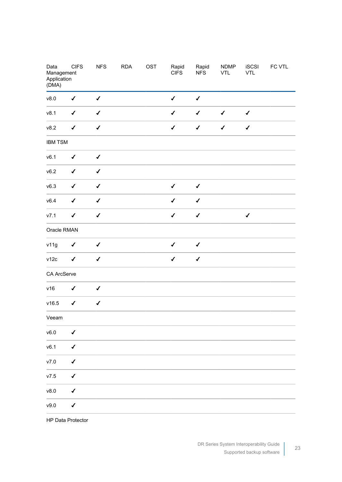| Data<br>Management<br>Application<br>(DMA) | <b>CIFS</b>               | <b>NFS</b>                | RDA | OST | Rapid<br><b>CIFS</b> | Rapid<br><b>NFS</b>       | <b>NDMP</b><br>VTL | iSCSI<br>VTL              | FC VTL |
|--------------------------------------------|---------------------------|---------------------------|-----|-----|----------------------|---------------------------|--------------------|---------------------------|--------|
| v8.0                                       | $\checkmark$              | $\boldsymbol{\checkmark}$ |     |     | $\checkmark$         | $\boldsymbol{\checkmark}$ |                    |                           |        |
| v8.1                                       | $\boldsymbol{\checkmark}$ | $\checkmark$              |     |     | $\checkmark$         | $\boldsymbol{\checkmark}$ | $\checkmark$       | $\checkmark$              |        |
| v8.2                                       | $\checkmark$              | $\checkmark$              |     |     | $\checkmark$         | $\boldsymbol{\checkmark}$ | $\checkmark$       | $\boldsymbol{\checkmark}$ |        |
| <b>IBM TSM</b>                             |                           |                           |     |     |                      |                           |                    |                           |        |
| v6.1                                       | $\checkmark$              | $\checkmark$              |     |     |                      |                           |                    |                           |        |
| v6.2                                       | $\checkmark$              | $\checkmark$              |     |     |                      |                           |                    |                           |        |
| v6.3                                       | $\checkmark$              | $\checkmark$              |     |     | $\checkmark$         | $\boldsymbol{\checkmark}$ |                    |                           |        |
| v6.4                                       | $\boldsymbol{\checkmark}$ | $\checkmark$              |     |     | $\checkmark$         | $\boldsymbol{\checkmark}$ |                    |                           |        |
| v7.1                                       | $\checkmark$              | $\checkmark$              |     |     | $\checkmark$         | $\checkmark$              |                    | $\checkmark$              |        |
| Oracle RMAN                                |                           |                           |     |     |                      |                           |                    |                           |        |
| v11g                                       | $\checkmark$              | $\checkmark$              |     |     | $\checkmark$         | $\checkmark$              |                    |                           |        |
| v12c                                       | $\checkmark$              | $\checkmark$              |     |     | $\checkmark$         | $\checkmark$              |                    |                           |        |
| CA ArcServe                                |                           |                           |     |     |                      |                           |                    |                           |        |
| v16                                        | $\boldsymbol{\checkmark}$ | $\checkmark$              |     |     |                      |                           |                    |                           |        |
| v16.5                                      | $\checkmark$              | $\checkmark$              |     |     |                      |                           |                    |                           |        |
| Veeam                                      |                           |                           |     |     |                      |                           |                    |                           |        |
| v6.0                                       | $\checkmark$              |                           |     |     |                      |                           |                    |                           |        |
| v6.1                                       | $\checkmark$              |                           |     |     |                      |                           |                    |                           |        |
| $v7.0$                                     | $\checkmark$              |                           |     |     |                      |                           |                    |                           |        |
| $v7.5$                                     | $\checkmark$              |                           |     |     |                      |                           |                    |                           |        |
| v8.0                                       | $\checkmark$              |                           |     |     |                      |                           |                    |                           |        |
| v9.0                                       | $\checkmark$              |                           |     |     |                      |                           |                    |                           |        |

HP Data Protector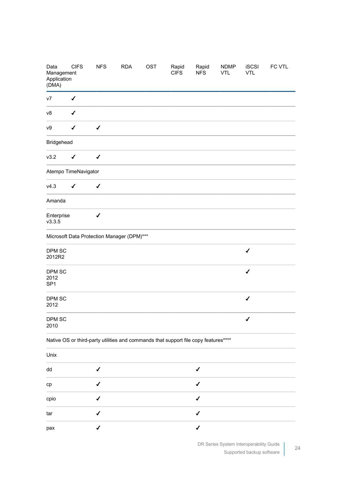| Data<br>Management<br>Application<br>(DMA) | <b>CIFS</b>  | <b>NFS</b>   | <b>RDA</b>                                 | OST | Rapid<br><b>CIFS</b>                                                                | Rapid<br><b>NFS</b> | <b>NDMP</b><br><b>VTL</b> | <b>iSCSI</b><br><b>VTL</b> | FC VTL |
|--------------------------------------------|--------------|--------------|--------------------------------------------|-----|-------------------------------------------------------------------------------------|---------------------|---------------------------|----------------------------|--------|
| v7                                         | $\checkmark$ |              |                                            |     |                                                                                     |                     |                           |                            |        |
| v8                                         | $\checkmark$ |              |                                            |     |                                                                                     |                     |                           |                            |        |
| v9                                         | $\checkmark$ | $\checkmark$ |                                            |     |                                                                                     |                     |                           |                            |        |
| Bridgehead                                 |              |              |                                            |     |                                                                                     |                     |                           |                            |        |
| v3.2                                       | $\checkmark$ | $\checkmark$ |                                            |     |                                                                                     |                     |                           |                            |        |
| Atempo TimeNavigator                       |              |              |                                            |     |                                                                                     |                     |                           |                            |        |
| v4.3                                       | $\checkmark$ | $\checkmark$ |                                            |     |                                                                                     |                     |                           |                            |        |
| Amanda                                     |              |              |                                            |     |                                                                                     |                     |                           |                            |        |
| Enterprise<br>v3.3.5                       |              | $\checkmark$ |                                            |     |                                                                                     |                     |                           |                            |        |
|                                            |              |              | Microsoft Data Protection Manager (DPM)*** |     |                                                                                     |                     |                           |                            |        |
| DPM SC<br>2012R2                           |              |              |                                            |     |                                                                                     |                     |                           | $\checkmark$               |        |
| DPM SC<br>2012<br>SP <sub>1</sub>          |              |              |                                            |     |                                                                                     |                     |                           | $\checkmark$               |        |
| DPM SC<br>2012                             |              |              |                                            |     |                                                                                     |                     |                           | $\checkmark$               |        |
| DPM SC<br>2010                             |              |              |                                            |     |                                                                                     |                     |                           | $\checkmark$               |        |
|                                            |              |              |                                            |     | Native OS or third-party utilities and commands that support file copy features**** |                     |                           |                            |        |
| Unix                                       |              |              |                                            |     |                                                                                     |                     |                           |                            |        |
| dd                                         |              | ✔            |                                            |     |                                                                                     | ✔                   |                           |                            |        |
| cp                                         |              | ✔            |                                            |     |                                                                                     | $\checkmark$        |                           |                            |        |
| cpio                                       |              | ✔            |                                            |     |                                                                                     | $\checkmark$        |                           |                            |        |
| tar                                        |              | ✔            |                                            |     |                                                                                     | ✔                   |                           |                            |        |
| pax                                        |              | ✔            |                                            |     |                                                                                     | ✔                   |                           |                            |        |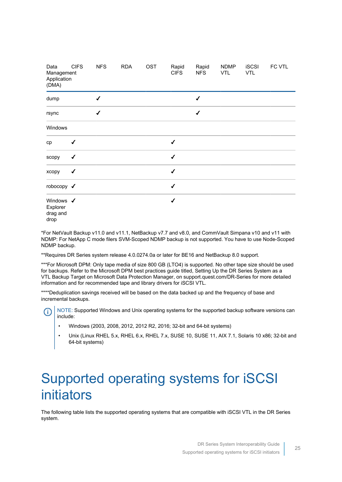| Data<br>Management<br>Application<br>(DMA) | <b>CIFS</b>  | <b>NFS</b> | <b>RDA</b> | <b>OST</b> | Rapid<br><b>CIFS</b> | Rapid<br><b>NFS</b> | <b>NDMP</b><br><b>VTL</b> | <b>iSCSI</b><br><b>VTL</b> | FC VTL |
|--------------------------------------------|--------------|------------|------------|------------|----------------------|---------------------|---------------------------|----------------------------|--------|
| dump                                       |              | J          |            |            |                      | ✔                   |                           |                            |        |
| rsync                                      |              | ✔          |            |            |                      | $\checkmark$        |                           |                            |        |
| Windows                                    |              |            |            |            |                      |                     |                           |                            |        |
| cp                                         | $\checkmark$ |            |            |            | $\checkmark$         |                     |                           |                            |        |
| scopy                                      | ✔            |            |            |            | $\checkmark$         |                     |                           |                            |        |
| хсору                                      | ✔            |            |            |            | ✔                    |                     |                           |                            |        |
| robocopy $\boldsymbol{\checkmark}$         |              |            |            |            | $\checkmark$         |                     |                           |                            |        |
| Windows V<br>Explorer<br>drag and<br>drop  |              |            |            |            | ✔                    |                     |                           |                            |        |

\*For NetVault Backup v11.0 and v11.1, NetBackup v7.7 and v8.0, and CommVault Simpana v10 and v11 with NDMP: For NetApp C mode filers SVM-Scoped NDMP backup is not supported. You have to use Node-Scoped NDMP backup.

\*\*Requires DR Series system release 4.0.0274.0a or later for BE16 and NetBackup 8.0 support.

\*\*\*For Microsoft DPM: Only tape media of size 800 GB (LTO4) is supported. No other tape size should be used for backups. Refer to the Microsoft DPM best practices guide titled, Setting Up the DR Series System as a VTL Backup Target on Microsoft Data Protection Manager, on support.quest.com/DR-Series for more detailed information and for recommended tape and library drivers for iSCSI VTL.

\*\*\*\*Deduplication savings received will be based on the data backed up and the frequency of base and incremental backups.

NOTE: Supported Windows and Unix operating systems for the supported backup software versions can Œ include:

- Windows (2003, 2008, 2012, 2012 R2, 2016; 32-bit and 64-bit systems)
- Unix (Linux RHEL 5.x, RHEL 6.x, RHEL 7.x, SUSE 10, SUSE 11, AIX 7.1, Solaris 10 x86; 32-bit and 64-bit systems)

## <span id="page-24-0"></span>Supported operating systems for iSCSI initiators

The following table lists the supported operating systems that are compatible with iSCSI VTL in the DR Series system.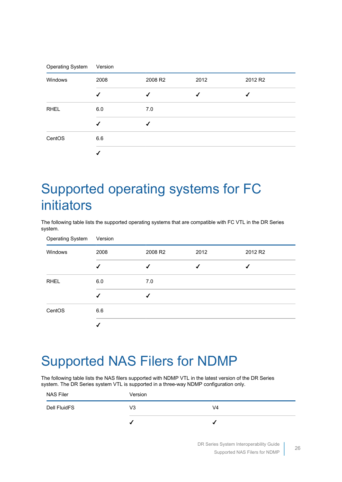| <b>Operating System</b> | Version |         |      |         |
|-------------------------|---------|---------|------|---------|
| Windows                 | 2008    | 2008 R2 | 2012 | 2012 R2 |
|                         | ✔       | ✔       |      |         |
| <b>RHEL</b>             | 6.0     | 7.0     |      |         |
|                         |         |         |      |         |
| CentOS                  | 6.6     |         |      |         |
|                         |         |         |      |         |

### <span id="page-25-0"></span>Supported operating systems for FC initiators

The following table lists the supported operating systems that are compatible with FC VTL in the DR Series system.

| <b>Operating System</b> | Version |         |      |         |
|-------------------------|---------|---------|------|---------|
| Windows                 | 2008    | 2008 R2 | 2012 | 2012 R2 |
|                         |         |         |      |         |
| <b>RHEL</b>             | 6.0     | 7.0     |      |         |
|                         |         |         |      |         |
| CentOS                  | 6.6     |         |      |         |
|                         |         |         |      |         |

#### <span id="page-25-1"></span>Supported NAS Filers for NDMP

The following table lists the NAS filers supported with NDMP VTL in the latest version of the DR Series system. The DR Series system VTL is supported in a three-way NDMP configuration only.

| <b>NAS Filer</b> | Version |    |
|------------------|---------|----|
| Dell FluidFS     | V3      | V4 |
|                  |         |    |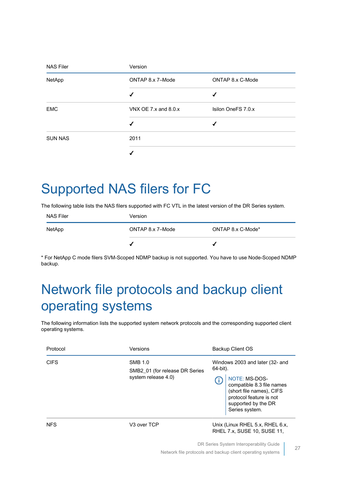| <b>NAS Filer</b> | Version                    |                    |  |  |  |
|------------------|----------------------------|--------------------|--|--|--|
| NetApp           | ONTAP 8.x 7-Mode           | ONTAP 8.x C-Mode   |  |  |  |
|                  |                            | √                  |  |  |  |
| <b>EMC</b>       | VNX OE 7. $x$ and 8.0. $x$ | Isilon OneFS 7.0.x |  |  |  |
|                  |                            |                    |  |  |  |
| <b>SUN NAS</b>   | 2011                       |                    |  |  |  |
|                  |                            |                    |  |  |  |

### <span id="page-26-0"></span>Supported NAS filers for FC

The following table lists the NAS filers supported with FC VTL in the latest version of the DR Series system.

| <b>NAS Filer</b> | Version          |                   |
|------------------|------------------|-------------------|
| NetApp           | ONTAP 8.x 7-Mode | ONTAP 8.x C-Mode* |
|                  |                  |                   |

\* For NetApp C mode filers SVM-Scoped NDMP backup is not supported. You have to use Node-Scoped NDMP backup.

## <span id="page-26-1"></span>Network file protocols and backup client operating systems

The following information lists the supported system network protocols and the corresponding supported client operating systems.

| Protocol    | Versions                                                                | Backup Client OS                                                                                                                                                                                |
|-------------|-------------------------------------------------------------------------|-------------------------------------------------------------------------------------------------------------------------------------------------------------------------------------------------|
| <b>CIFS</b> | <b>SMB 1.0</b><br>SMB2_01 (for release DR Series<br>system release 4.0) | Windows 2003 and later (32- and<br>64-bit).<br>NOTE: MS-DOS-<br>Æ.<br>compatible 8.3 file names<br>(short file names), CIFS<br>protocol feature is not<br>supported by the DR<br>Series system. |
| <b>NFS</b>  | V3 over TCP                                                             | Unix (Linux RHEL 5.x, RHEL 6.x,<br>RHEL 7.x, SUSE 10, SUSE 11,                                                                                                                                  |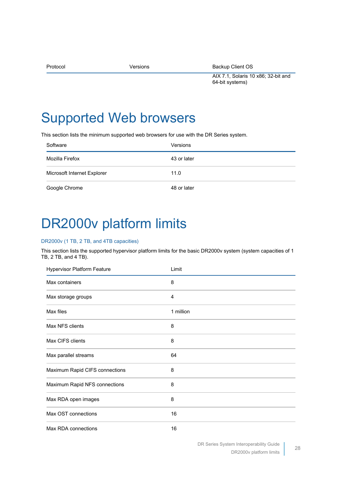| Protocol | Versions | Backup Client OS                    |
|----------|----------|-------------------------------------|
|          |          | AIX 7.1, Solaris 10 x86; 32-bit and |
|          |          | 64-bit systems)                     |

#### <span id="page-27-0"></span>Supported Web browsers

This section lists the minimum supported web browsers for use with the DR Series system.

| Software                    | Versions    |
|-----------------------------|-------------|
| Mozilla Firefox             | 43 or later |
| Microsoft Internet Explorer | 11.0        |
| Google Chrome               | 48 or later |

#### <span id="page-27-1"></span>DR2000v platform limits

#### DR2000v (1 TB, 2 TB, and 4TB capacities)

This section lists the supported hypervisor platform limits for the basic DR2000v system (system capacities of 1 TB, 2 TB, and 4 TB).

| <b>Hypervisor Platform Feature</b> | Limit          |  |
|------------------------------------|----------------|--|
| Max containers                     | 8              |  |
| Max storage groups                 | $\overline{4}$ |  |
| Max files                          | 1 million      |  |
| Max NFS clients                    | 8              |  |
| Max CIFS clients                   | 8              |  |
| Max parallel streams               | 64             |  |
| Maximum Rapid CIFS connections     | 8              |  |
| Maximum Rapid NFS connections      | 8              |  |
| Max RDA open images                | 8              |  |
| Max OST connections                | 16             |  |
| Max RDA connections                | 16             |  |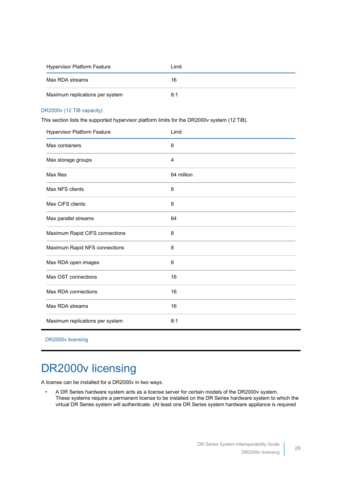| <b>Hypervisor Platform Feature</b> | Limit |
|------------------------------------|-------|
| Max RDA streams                    | 16    |
| Maximum replications per system    | 8:1   |

#### DR2000v (12 TiB capacity)

This section lists the supported hypervisor platform limits for the DR2000v system (12 TiB).

| <b>Hypervisor Platform Feature</b> | Limit      |
|------------------------------------|------------|
| Max containers                     | 8          |
| Max storage groups                 | 4          |
| Max files                          | 64 million |
| Max NFS clients                    | 8          |
| Max CIFS clients                   | 8          |
| Max parallel streams               | 64         |
| Maximum Rapid CIFS connections     | 8          |
| Maximum Rapid NFS connections      | 8          |
| Max RDA open images                | 8          |
| Max OST connections                | 16         |
| Max RDA connections                | 16         |
| Max RDA streams                    | 16         |
| Maximum replications per system    | 8:1        |

[DR2000v licensing](#page-28-0)

#### <span id="page-28-0"></span>DR2000v licensing

A license can be installed for a DR2000v in two ways.

• A DR Series hardware system acts as a license server for certain models of the DR2000v system. These systems require a permanent license to be installed on the DR Series hardware system to which the virtual DR Series system will authenticate. (At least one DR Series system hardware appliance is required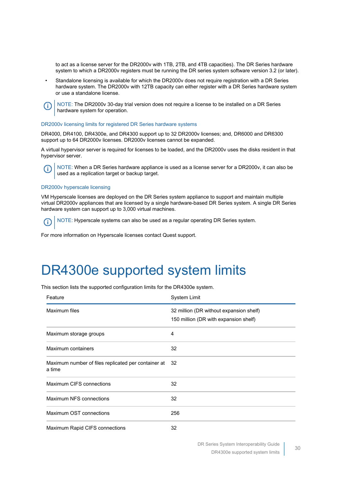to act as a license server for the DR2000v with 1TB, 2TB, and 4TB capacities). The DR Series hardware system to which a DR2000v registers must be running the DR series system software version 3.2 (or later).

Standalone licensing is available for which the DR2000v does not require registration with a DR Series hardware system. The DR2000v with 12TB capacity can either register with a DR Series hardware system or use a standalone license.

NOTE: The DR2000v 30-day trial version does not require a license to be installed on a DR Series ⋒ hardware system for operation.

#### DR2000v licensing limits for registered DR Series hardware systems

DR4000, DR4100, DR4300e, and DR4300 support up to 32 DR2000v licenses; and, DR6000 and DR6300 support up to 64 DR2000v licenses. DR2000v licenses cannot be expanded.

A virtual hypervisor server is required for licenses to be loaded, and the DR2000v uses the disks resident in that hypervisor server.

NOTE: When a DR Series hardware appliance is used as a license server for a DR2000v, it can also be used as a replication target or backup target.

#### DR2000v hyperscale licensing

VM Hyperscale licenses are deployed on the DR Series system appliance to support and maintain multiple virtual DR2000v appliances that are licensed by a single hardware-based DR Series system. A single DR Series hardware system can support up to 3,000 virtual machines.

NOTE: Hyperscale systems can also be used as a regular operating DR Series system. G)

For more information on Hyperscale licenses contact Quest support.

#### <span id="page-29-0"></span>DR4300e supported system limits

This section lists the supported configuration limits for the DR4300e system.

| Feature                                                          | System Limit                                                                     |
|------------------------------------------------------------------|----------------------------------------------------------------------------------|
| Maximum files                                                    | 32 million (DR without expansion shelf)<br>150 million (DR with expansion shelf) |
| Maximum storage groups                                           | 4                                                                                |
| Maximum containers                                               | 32                                                                               |
| Maximum number of files replicated per container at 32<br>a time |                                                                                  |
| Maximum CIFS connections                                         | 32                                                                               |
| Maximum NFS connections                                          | 32                                                                               |
| Maximum OST connections                                          | 256                                                                              |
| Maximum Rapid CIFS connections                                   | 32                                                                               |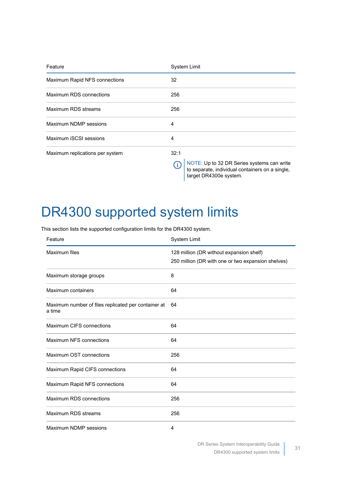| Feature                         | System Limit                                                                                                                   |
|---------------------------------|--------------------------------------------------------------------------------------------------------------------------------|
| Maximum Rapid NFS connections   | 32                                                                                                                             |
| Maximum RDS connections         | 256                                                                                                                            |
| Maximum RDS streams             | 256                                                                                                                            |
| Maximum NDMP sessions           | 4                                                                                                                              |
| Maximum iSCSI sessions          | 4                                                                                                                              |
| Maximum replications per system | 32:1                                                                                                                           |
|                                 | NOTE: Up to 32 DR Series systems can write<br>(i)<br>to separate, individual containers on a single,<br>target DR4300e system. |

## <span id="page-30-0"></span>DR4300 supported system limits

This section lists the supported configuration limits for the DR4300 system.

| Feature                                                       | System Limit                                                                                   |
|---------------------------------------------------------------|------------------------------------------------------------------------------------------------|
| Maximum files                                                 | 128 million (DR without expansion shelf)<br>250 million (DR with one or two expansion shelves) |
| Maximum storage groups                                        | 8                                                                                              |
| Maximum containers                                            | 64                                                                                             |
| Maximum number of files replicated per container at<br>a time | 64                                                                                             |
| Maximum CIFS connections                                      | 64                                                                                             |
| Maximum NFS connections                                       | 64                                                                                             |
| Maximum OST connections                                       | 256                                                                                            |
| Maximum Rapid CIFS connections                                | 64                                                                                             |
| Maximum Rapid NFS connections                                 | 64                                                                                             |
| Maximum RDS connections                                       | 256                                                                                            |
| Maximum RDS streams                                           | 256                                                                                            |
| Maximum NDMP sessions                                         | 4                                                                                              |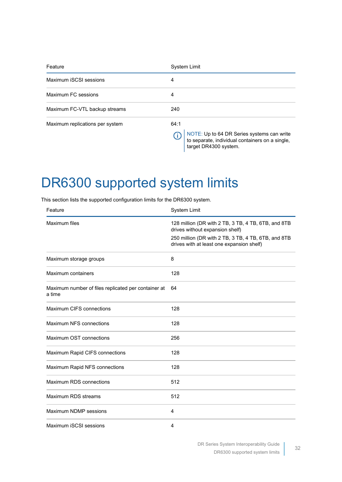| Feature                         | <b>System Limit</b>                                                                                                            |
|---------------------------------|--------------------------------------------------------------------------------------------------------------------------------|
| Maximum iSCSI sessions          | 4                                                                                                                              |
| Maximum FC sessions             | 4                                                                                                                              |
| Maximum FC-VTL backup streams   | 240                                                                                                                            |
| Maximum replications per system | 64:1<br>NOTE: Up to 64 DR Series systems can write<br>to separate, individual containers on a single,<br>target DR4300 system. |

#### <span id="page-31-0"></span>DR6300 supported system limits

This section lists the supported configuration limits for the DR6300 system.

| Feature                                                       | System Limit                                                                                                                                                                               |
|---------------------------------------------------------------|--------------------------------------------------------------------------------------------------------------------------------------------------------------------------------------------|
| Maximum files                                                 | 128 million (DR with 2 TB, 3 TB, 4 TB, 6TB, and 8TB<br>drives without expansion shelf)<br>250 million (DR with 2 TB, 3 TB, 4 TB, 6TB, and 8TB<br>drives with at least one expansion shelf) |
| Maximum storage groups                                        | 8                                                                                                                                                                                          |
| Maximum containers                                            | 128                                                                                                                                                                                        |
| Maximum number of files replicated per container at<br>a time | 64                                                                                                                                                                                         |
| Maximum CIFS connections                                      | 128                                                                                                                                                                                        |
| Maximum NFS connections                                       | 128                                                                                                                                                                                        |
| Maximum OST connections                                       | 256                                                                                                                                                                                        |
| Maximum Rapid CIFS connections                                | 128                                                                                                                                                                                        |
| Maximum Rapid NFS connections                                 | 128                                                                                                                                                                                        |
| Maximum RDS connections                                       | 512                                                                                                                                                                                        |
| Maximum RDS streams                                           | 512                                                                                                                                                                                        |
| Maximum NDMP sessions                                         | 4                                                                                                                                                                                          |
| Maximum iSCSI sessions                                        | 4                                                                                                                                                                                          |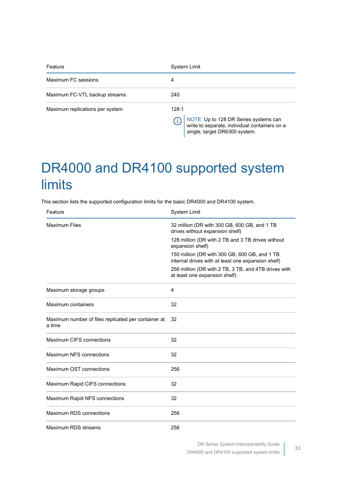| Feature                         | <b>System Limit</b>                                                                                                              |
|---------------------------------|----------------------------------------------------------------------------------------------------------------------------------|
| Maximum FC sessions             | 4                                                                                                                                |
| Maximum FC-VTL backup streams   | 240                                                                                                                              |
| Maximum replications per system | 128:1<br>NOTE: Up to 128 DR Series systems can<br>write to separate, individual containers on a<br>single, target DR6300 system. |

## <span id="page-32-0"></span>DR4000 and DR4100 supported system limits

This section lists the supported configuration limits for the basic DR4000 and DR4100 system.

| Feature                                                       | System Limit                                                                                        |
|---------------------------------------------------------------|-----------------------------------------------------------------------------------------------------|
| <b>Maximum Files</b>                                          | 32 million (DR with 300 GB, 600 GB, and 1 TB<br>drives without expansion shelf)                     |
|                                                               | 128 million (DR with 2 TB and 3 TB drives without<br>expansion shelf)                               |
|                                                               | 150 million (DR with 300 GB, 600 GB, and 1 TB<br>internal drives with at least one expansion shelf) |
|                                                               | 256 million (DR with 2 TB, 3 TB, and 4TB drives with<br>at least one expansion shelf)               |
| Maximum storage groups                                        | 4                                                                                                   |
| Maximum containers                                            | 32                                                                                                  |
| Maximum number of files replicated per container at<br>a time | 32                                                                                                  |
| Maximum CIFS connections                                      | 32                                                                                                  |
| Maximum NFS connections                                       | 32                                                                                                  |
| Maximum OST connections                                       | 256                                                                                                 |
| Maximum Rapid CIFS connections                                | 32                                                                                                  |
| Maximum Rapid NFS connections                                 | 32                                                                                                  |
| Maximum RDS connections                                       | 256                                                                                                 |
| Maximum RDS streams                                           | 256                                                                                                 |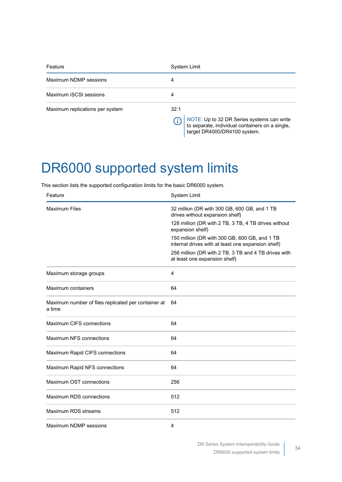| Feature                         | <b>System Limit</b>                                                                                                                   |
|---------------------------------|---------------------------------------------------------------------------------------------------------------------------------------|
| Maximum NDMP sessions           | 4                                                                                                                                     |
| Maximum iSCSI sessions          | 4                                                                                                                                     |
| Maximum replications per system | 32:1<br>NOTE: Up to 32 DR Series systems can write<br>to separate, individual containers on a single,<br>target DR4000/DR4100 system. |

## <span id="page-33-0"></span>DR6000 supported system limits

This section lists the supported configuration limits for the basic DR6000 system.

| Feature                                                       | System Limit                                                                                        |
|---------------------------------------------------------------|-----------------------------------------------------------------------------------------------------|
| <b>Maximum Files</b>                                          | 32 million (DR with 300 GB, 600 GB, and 1 TB<br>drives without expansion shelf)                     |
|                                                               | 128 million (DR with 2 TB, 3 TB, 4 TB drives without<br>expansion shelf)                            |
|                                                               | 150 million (DR with 300 GB, 600 GB, and 1 TB<br>internal drives with at least one expansion shelf) |
|                                                               | 256 million (DR with 2 TB, 3 TB and 4 TB drives with<br>at least one expansion shelf)               |
| Maximum storage groups                                        | 4                                                                                                   |
| Maximum containers                                            | 64                                                                                                  |
| Maximum number of files replicated per container at<br>a time | 64                                                                                                  |
| Maximum CIFS connections                                      | 64                                                                                                  |
| Maximum NFS connections                                       | 64                                                                                                  |
| Maximum Rapid CIFS connections                                | 64                                                                                                  |
| Maximum Rapid NFS connections                                 | 64                                                                                                  |
| Maximum OST connections                                       | 256                                                                                                 |
| Maximum RDS connections                                       | 512                                                                                                 |
| Maximum RDS streams                                           | 512                                                                                                 |
| Maximum NDMP sessions                                         | 4                                                                                                   |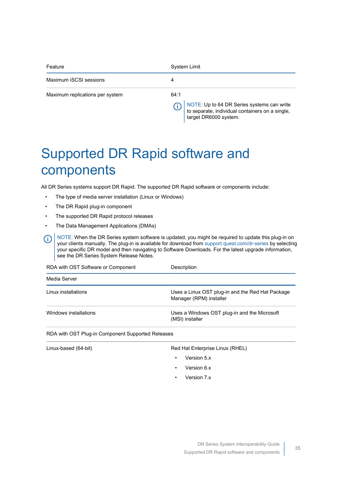| Feature                         | System Limit                                                                                                                   |
|---------------------------------|--------------------------------------------------------------------------------------------------------------------------------|
| Maximum iSCSI sessions          | 4                                                                                                                              |
| Maximum replications per system | 64:1<br>NOTE: Up to 64 DR Series systems can write<br>to separate, individual containers on a single,<br>target DR6000 system. |

## <span id="page-34-0"></span>Supported DR Rapid software and components

All DR Series systems support DR Rapid. The supported DR Rapid software or components include:

- The type of media server installation (Linux or Windows)
- The DR Rapid plug-in component
- The supported DR Rapid protocol releases
- The Data Management Applications (DMAs)

NOTE: When the DR Series system software is updated, you might be required to update this plug-in on ⋒ your clients manually. The plug-in is available for download from [support.quest.com/dr-series](http://support.quest.com/dr-series) by selecting your specific DR model and then navigating to Software Downloads. For the latest upgrade information, see the DR Series System Release Notes.

| RDA with OST Software or Component | Description                                                                 |
|------------------------------------|-----------------------------------------------------------------------------|
| Media Server                       |                                                                             |
| Linux installations                | Uses a Linux OST plug-in and the Red Hat Package<br>Manager (RPM) installer |
| Windows installations              | Uses a Windows OST plug-in and the Microsoft<br>(MSI) installer             |

RDA with OST Plug-in Component Supported Releases

| Linux-based (64-bit) | Red Hat Enterprise Linux (RHEL) |
|----------------------|---------------------------------|
|                      | Version 5.x                     |

- Version 6.x
- Version 7.x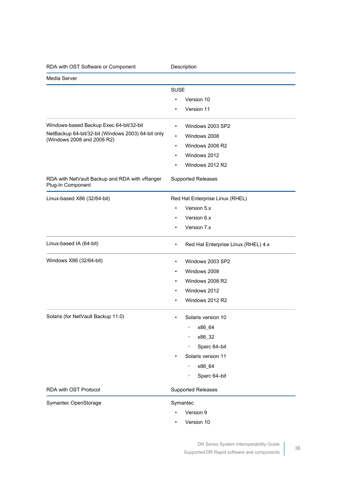| RDA with OST Software or Component                                               | Description                                      |
|----------------------------------------------------------------------------------|--------------------------------------------------|
| Media Server                                                                     |                                                  |
|                                                                                  | <b>SUSE</b>                                      |
|                                                                                  | Version 10                                       |
|                                                                                  | Version 11                                       |
| Windows-based Backup Exec 64-bit/32-bit                                          | Windows 2003 SP2                                 |
| NetBackup 64-bit/32-bit (Windows 2003) 64-bit only<br>(Windows 2008 and 2008 R2) | Windows 2008<br>$\bullet$                        |
|                                                                                  | Windows 2008 R2<br>$\bullet$                     |
|                                                                                  | Windows 2012<br>$\bullet$                        |
|                                                                                  | Windows 2012 R2<br>٠                             |
| RDA with NetVault Backup and RDA with vRanger<br>Plug-In Component               | <b>Supported Releases</b>                        |
| Linux-based X86 (32/64-bit)                                                      | Red Hat Enterprise Linux (RHEL)                  |
|                                                                                  | Version 5.x                                      |
|                                                                                  | Version 6.x                                      |
|                                                                                  | Version 7.x<br>$\bullet$                         |
| Linux-based IA (64-bit)                                                          | Red Hat Enterprise Linux (RHEL) 4.x<br>$\bullet$ |
| Windows X86 (32/64-bit)                                                          | Windows 2003 SP2<br>$\bullet$                    |
|                                                                                  | Windows 2008<br>$\bullet$                        |
|                                                                                  | Windows 2008 R2<br>٠                             |
|                                                                                  | Windows 2012                                     |
|                                                                                  | Windows 2012 R2                                  |
| Solaris (for NetVault Backup 11.0)                                               | Solaris version 10<br>٠                          |
|                                                                                  | x86_64<br>$\circ$                                |
|                                                                                  | x86_32<br>$\circ$                                |
|                                                                                  | Sparc 64-bit<br>$\circ$                          |
|                                                                                  | Solaris version 11                               |
|                                                                                  | x86_64<br>$\circ$                                |
|                                                                                  | Sparc 64-bit<br>$\circ$                          |
| RDA with OST Protocol                                                            | Supported Releases                               |
| Symantec OpenStorage                                                             | Symantec                                         |
|                                                                                  | Version 9                                        |
|                                                                                  | Version 10                                       |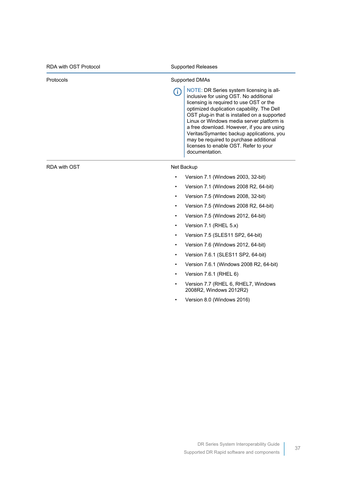| <b>RDA with OST Protocol</b> | <b>Supported Releases</b>                                                                                                                                                                                                                                                                                                                                                                                                                                                     |
|------------------------------|-------------------------------------------------------------------------------------------------------------------------------------------------------------------------------------------------------------------------------------------------------------------------------------------------------------------------------------------------------------------------------------------------------------------------------------------------------------------------------|
| Protocols                    | <b>Supported DMAs</b>                                                                                                                                                                                                                                                                                                                                                                                                                                                         |
|                              | NOTE: DR Series system licensing is all-<br>Œ<br>inclusive for using OST. No additional<br>licensing is required to use OST or the<br>optimized duplication capability. The Dell<br>OST plug-in that is installed on a supported<br>Linux or Windows media server platform is<br>a free download. However, if you are using<br>Veritas/Symantec backup applications, you<br>may be required to purchase additional<br>licenses to enable OST. Refer to your<br>documentation. |
| RDA with OST                 | Net Backup                                                                                                                                                                                                                                                                                                                                                                                                                                                                    |
|                              | Version 7.1 (Windows 2003, 32-bit)                                                                                                                                                                                                                                                                                                                                                                                                                                            |
|                              | Version 7.1 (Windows 2008 R2, 64-bit)<br>٠                                                                                                                                                                                                                                                                                                                                                                                                                                    |
|                              | Version 7.5 (Windows 2008, 32-bit)                                                                                                                                                                                                                                                                                                                                                                                                                                            |
|                              | Version 7.5 (Windows 2008 R2, 64-bit)                                                                                                                                                                                                                                                                                                                                                                                                                                         |
|                              | Version 7.5 (Windows 2012, 64-bit)<br>$\bullet$                                                                                                                                                                                                                                                                                                                                                                                                                               |
|                              | Version 7.1 (RHEL 5.x)<br>٠                                                                                                                                                                                                                                                                                                                                                                                                                                                   |
|                              | Version 7.5 (SLES11 SP2, 64-bit)<br>$\bullet$                                                                                                                                                                                                                                                                                                                                                                                                                                 |
|                              | Version 7.6 (Windows 2012, 64-bit)                                                                                                                                                                                                                                                                                                                                                                                                                                            |
|                              | Version 7.6.1 (SLES11 SP2, 64-bit)<br>٠                                                                                                                                                                                                                                                                                                                                                                                                                                       |

- Version 7.6.1 (Windows 2008 R2, 64-bit)
- Version 7.6.1 (RHEL 6)
- Version 7.7 (RHEL 6, RHEL7, Windows 2008R2, Windows 2012R2)
- Version 8.0 (Windows 2016)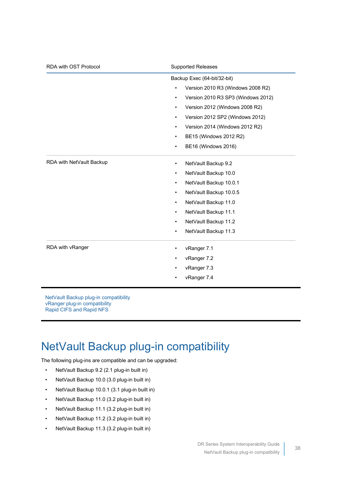| RDA with OST Protocol    | <b>Supported Releases</b>                       |
|--------------------------|-------------------------------------------------|
|                          | Backup Exec (64-bit/32-bit)                     |
|                          | Version 2010 R3 (Windows 2008 R2)               |
|                          | Version 2010 R3 SP3 (Windows 2012)<br>$\bullet$ |
|                          | Version 2012 (Windows 2008 R2)<br>$\bullet$     |
|                          | Version 2012 SP2 (Windows 2012)<br>$\bullet$    |
|                          | Version 2014 (Windows 2012 R2)<br>$\bullet$     |
|                          | BE15 (Windows 2012 R2)<br>$\bullet$             |
|                          | BE16 (Windows 2016)<br>٠                        |
| RDA with NetVault Backup | NetVault Backup 9.2<br>$\bullet$                |
|                          | NetVault Backup 10.0<br>$\bullet$               |
|                          | NetVault Backup 10.0.1<br>$\bullet$             |
|                          | NetVault Backup 10.0.5<br>٠                     |
|                          | NetVault Backup 11.0<br>$\bullet$               |
|                          | NetVault Backup 11.1<br>$\bullet$               |
|                          | NetVault Backup 11.2<br>$\bullet$               |
|                          | NetVault Backup 11.3<br>$\bullet$               |
| RDA with vRanger         | vRanger 7.1                                     |
|                          | vRanger 7.2                                     |
|                          | vRanger 7.3                                     |
|                          | vRanger 7.4                                     |
|                          |                                                 |

[NetVault Backup plug-in compatibility](#page-37-0) [vRanger plug-in compatibility](#page-38-0) [Rapid CIFS and Rapid NFS](#page-38-1)

#### <span id="page-37-0"></span>NetVault Backup plug-in compatibility

The following plug-ins are compatible and can be upgraded:

- NetVault Backup 9.2 (2.1 plug-in built in)
- NetVault Backup 10.0 (3.0 plug-in built in)
- NetVault Backup 10.0.1 (3.1 plug-in built in)
- NetVault Backup 11.0 (3.2 plug-in built in)
- NetVault Backup 11.1 (3.2 plug-in built in)
- NetVault Backup 11.2 (3.2 plug-in built in)
- NetVault Backup 11.3 (3.2 plug-in built in)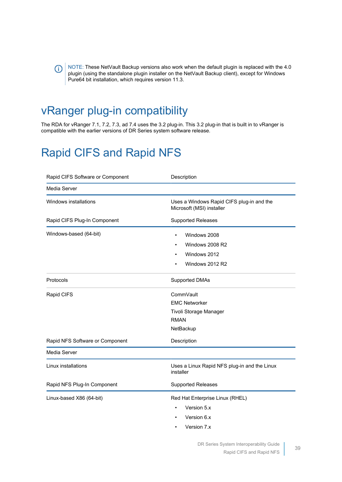NOTE: These NetVault Backup versions also work when the default plugin is replaced with the 4.0 plugin (using the standalone plugin installer on the NetVault Backup client), except for Windows Pure64 bit installation, which requires version 11.3.

#### <span id="page-38-0"></span>vRanger plug-in compatibility

(i)

The RDA for vRanger 7.1, 7.2, 7.3, ad 7.4 uses the 3.2 plug-in. This 3.2 plug-in that is built in to vRanger is compatible with the earlier versions of DR Series system software release.

#### <span id="page-38-1"></span>Rapid CIFS and Rapid NFS

| Rapid CIFS Software or Component | Description                                                            |
|----------------------------------|------------------------------------------------------------------------|
| Media Server                     |                                                                        |
| Windows installations            | Uses a Windows Rapid CIFS plug-in and the<br>Microsoft (MSI) installer |
| Rapid CIFS Plug-In Component     | Supported Releases                                                     |
| Windows-based (64-bit)           | Windows 2008<br>$\bullet$                                              |
|                                  | Windows 2008 R2                                                        |
|                                  | Windows 2012                                                           |
|                                  | Windows 2012 R2                                                        |
| Protocols                        | <b>Supported DMAs</b>                                                  |
| Rapid CIFS                       | CommVault                                                              |
|                                  | <b>EMC Networker</b>                                                   |
|                                  | Tivoli Storage Manager                                                 |
|                                  | <b>RMAN</b>                                                            |
|                                  | NetBackup                                                              |
| Rapid NFS Software or Component  | Description                                                            |
| Media Server                     |                                                                        |
| Linux installations              | Uses a Linux Rapid NFS plug-in and the Linux<br>installer              |
| Rapid NFS Plug-In Component      | <b>Supported Releases</b>                                              |
| Linux-based X86 (64-bit)         | Red Hat Enterprise Linux (RHEL)                                        |
|                                  | Version 5.x                                                            |
|                                  | Version 6.x                                                            |
|                                  | Version 7.x                                                            |
|                                  |                                                                        |